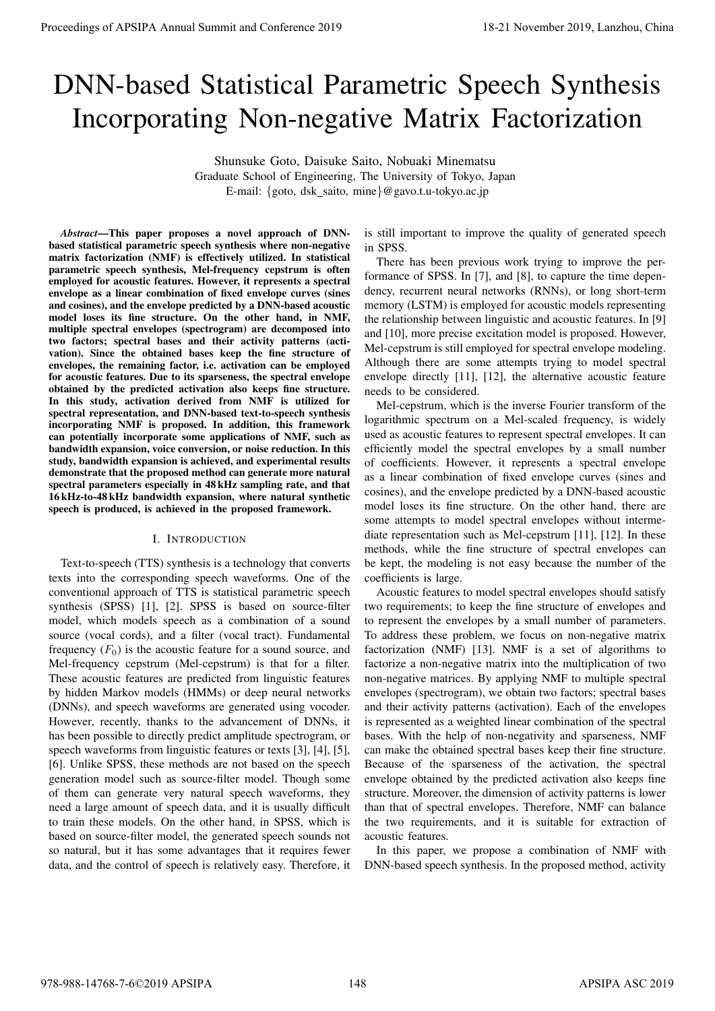# DNN-based Statistical Parametric Speech Synthesis Incorporating Non-negative Matrix Factorization

Shunsuke Goto, Daisuke Saito, Nobuaki Minematsu Graduate School of Engineering, The University of Tokyo, Japan E-mail: {goto, dsk\_saito, mine}@gavo.t.u-tokyo.ac.jp

*Abstract*—This paper proposes a novel approach of DNNbased statistical parametric speech synthesis where non-negative matrix factorization (NMF) is effectively utilized. In statistical parametric speech synthesis, Mel-frequency cepstrum is often employed for acoustic features. However, it represents a spectral envelope as a linear combination of fixed envelope curves (sines and cosines), and the envelope predicted by a DNN-based acoustic model loses its fine structure. On the other hand, in NMF, multiple spectral envelopes (spectrogram) are decomposed into two factors; spectral bases and their activity patterns (activation). Since the obtained bases keep the fine structure of envelopes, the remaining factor, i.e. activation can be employed for acoustic features. Due to its sparseness, the spectral envelope obtained by the predicted activation also keeps fine structure. In this study, activation derived from NMF is utilized for spectral representation, and DNN-based text-to-speech synthesis incorporating NMF is proposed. In addition, this framework can potentially incorporate some applications of NMF, such as bandwidth expansion, voice conversion, or noise reduction. In this study, bandwidth expansion is achieved, and experimental results demonstrate that the proposed method can generate more natural spectral parameters especially in 48 kHz sampling rate, and that 16 kHz-to-48 kHz bandwidth expansion, where natural synthetic speech is produced, is achieved in the proposed framework.

## I. INTRODUCTION

Text-to-speech (TTS) synthesis is a technology that converts texts into the corresponding speech waveforms. One of the conventional approach of TTS is statistical parametric speech synthesis (SPSS) [1], [2]. SPSS is based on source-filter model, which models speech as a combination of a sound source (vocal cords), and a filter (vocal tract). Fundamental frequency  $(F_0)$  is the acoustic feature for a sound source, and Mel-frequency cepstrum (Mel-cepstrum) is that for a filter. These acoustic features are predicted from linguistic features by hidden Markov models (HMMs) or deep neural networks (DNNs), and speech waveforms are generated using vocoder. However, recently, thanks to the advancement of DNNs, it has been possible to directly predict amplitude spectrogram, or speech waveforms from linguistic features or texts [3], [4], [5], [6]. Unlike SPSS, these methods are not based on the speech generation model such as source-filter model. Though some of them can generate very natural speech waveforms, they need a large amount of speech data, and it is usually difficult to train these models. On the other hand, in SPSS, which is based on source-filter model, the generated speech sounds not so natural, but it has some advantages that it requires fewer data, and the control of speech is relatively easy. Therefore, it **Proceedings of APSIPA Annual Summit at Conference 2019**<br>
DNN-based of Statistical Parameteric Speech Synthesis<br>
Incorporating Non-negative Matrix Factorization (See Figure 2019)<br>
the same the same that the same that the

is still important to improve the quality of generated speech in SPSS.

There has been previous work trying to improve the performance of SPSS. In [7], and [8], to capture the time dependency, recurrent neural networks (RNNs), or long short-term memory (LSTM) is employed for acoustic models representing the relationship between linguistic and acoustic features. In [9] and [10], more precise excitation model is proposed. However, Mel-cepstrum is still employed for spectral envelope modeling. Although there are some attempts trying to model spectral envelope directly [11], [12], the alternative acoustic feature needs to be considered.

Mel-cepstrum, which is the inverse Fourier transform of the logarithmic spectrum on a Mel-scaled frequency, is widely used as acoustic features to represent spectral envelopes. It can efficiently model the spectral envelopes by a small number of coefficients. However, it represents a spectral envelope as a linear combination of fixed envelope curves (sines and cosines), and the envelope predicted by a DNN-based acoustic model loses its fine structure. On the other hand, there are some attempts to model spectral envelopes without intermediate representation such as Mel-cepstrum [11], [12]. In these methods, while the fine structure of spectral envelopes can be kept, the modeling is not easy because the number of the coefficients is large.

Acoustic features to model spectral envelopes should satisfy two requirements; to keep the fine structure of envelopes and to represent the envelopes by a small number of parameters. To address these problem, we focus on non-negative matrix factorization (NMF) [13]. NMF is a set of algorithms to factorize a non-negative matrix into the multiplication of two non-negative matrices. By applying NMF to multiple spectral envelopes (spectrogram), we obtain two factors; spectral bases and their activity patterns (activation). Each of the envelopes is represented as a weighted linear combination of the spectral bases. With the help of non-negativity and sparseness, NMF can make the obtained spectral bases keep their fine structure. Because of the sparseness of the activation, the spectral envelope obtained by the predicted activation also keeps fine structure. Moreover, the dimension of activity patterns is lower than that of spectral envelopes. Therefore, NMF can balance the two requirements, and it is suitable for extraction of acoustic features.

In this paper, we propose a combination of NMF with DNN-based speech synthesis. In the proposed method, activity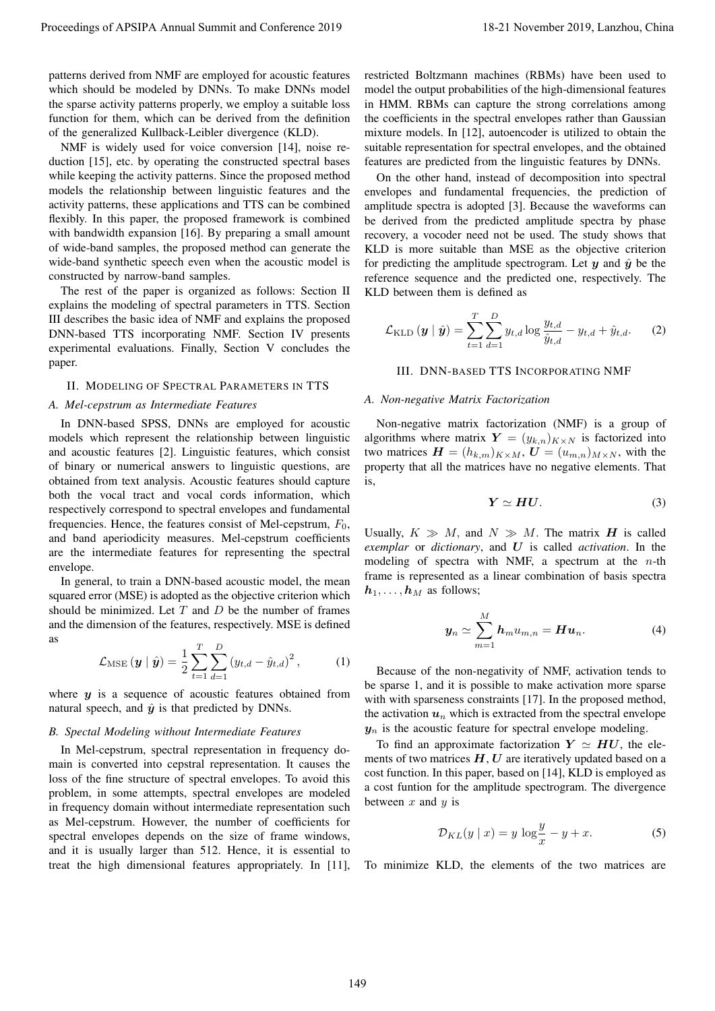patterns derived from NMF are employed for acoustic features which should be modeled by DNNs. To make DNNs model the sparse activity patterns properly, we employ a suitable loss function for them, which can be derived from the definition of the generalized Kullback-Leibler divergence (KLD).

NMF is widely used for voice conversion [14], noise reduction [15], etc. by operating the constructed spectral bases while keeping the activity patterns. Since the proposed method models the relationship between linguistic features and the activity patterns, these applications and TTS can be combined flexibly. In this paper, the proposed framework is combined with bandwidth expansion [16]. By preparing a small amount of wide-band samples, the proposed method can generate the wide-band synthetic speech even when the acoustic model is constructed by narrow-band samples.

The rest of the paper is organized as follows: Section II explains the modeling of spectral parameters in TTS. Section III describes the basic idea of NMF and explains the proposed DNN-based TTS incorporating NMF. Section IV presents experimental evaluations. Finally, Section V concludes the paper.

#### II. MODELING OF SPECTRAL PARAMETERS IN TTS

#### *A. Mel-cepstrum as Intermediate Features*

In DNN-based SPSS, DNNs are employed for acoustic models which represent the relationship between linguistic and acoustic features [2]. Linguistic features, which consist of binary or numerical answers to linguistic questions, are obtained from text analysis. Acoustic features should capture both the vocal tract and vocal cords information, which respectively correspond to spectral envelopes and fundamental frequencies. Hence, the features consist of Mel-cepstrum,  $F_0$ , and band aperiodicity measures. Mel-cepstrum coefficients are the intermediate features for representing the spectral envelope. Procedure of APSIPA Annual Summit and Conference 2019<br>
procedure and Conference 2019 in the conference 2019 in the conference 2019 in the conference and conference 2019 in the conference 2019 in the conference 2019 in the

In general, to train a DNN-based acoustic model, the mean squared error (MSE) is adopted as the objective criterion which should be minimized. Let *T* and *D* be the number of frames and the dimension of the features, respectively. MSE is defined as

$$
\mathcal{L}_{MSE}(\boldsymbol{y} \mid \hat{\boldsymbol{y}}) = \frac{1}{2} \sum_{t=1}^{T} \sum_{d=1}^{D} (y_{t,d} - \hat{y}_{t,d})^2, \quad (1)
$$

where  $y$  is a sequence of acoustic features obtained from natural speech, and  $\hat{y}$  is that predicted by DNNs.

#### *B. Spectal Modeling without Intermediate Features*

In Mel-cepstrum, spectral representation in frequency domain is converted into cepstral representation. It causes the loss of the fine structure of spectral envelopes. To avoid this problem, in some attempts, spectral envelopes are modeled in frequency domain without intermediate representation such as Mel-cepstrum. However, the number of coefficients for spectral envelopes depends on the size of frame windows, and it is usually larger than 512. Hence, it is essential to treat the high dimensional features appropriately. In [11], restricted Boltzmann machines (RBMs) have been used to model the output probabilities of the high-dimensional features in HMM. RBMs can capture the strong correlations among the coefficients in the spectral envelopes rather than Gaussian mixture models. In [12], autoencoder is utilized to obtain the suitable representation for spectral envelopes, and the obtained features are predicted from the linguistic features by DNNs.

On the other hand, instead of decomposition into spectral envelopes and fundamental frequencies, the prediction of amplitude spectra is adopted [3]. Because the waveforms can be derived from the predicted amplitude spectra by phase recovery, a vocoder need not be used. The study shows that KLD is more suitable than MSE as the objective criterion for predicting the amplitude spectrogram. Let  $y$  and  $\hat{y}$  be the reference sequence and the predicted one, respectively. The KLD between them is defined as

$$
\mathcal{L}_{\text{KLD}}\left(\boldsymbol{y} \mid \hat{\boldsymbol{y}}\right) = \sum_{t=1}^{T} \sum_{d=1}^{D} y_{t,d} \log \frac{y_{t,d}}{\hat{y}_{t,d}} - y_{t,d} + \hat{y}_{t,d}.
$$
 (2)

#### III. DNN-BASED TTS INCORPORATING NMF

#### *A. Non-negative Matrix Factorization*

Non-negative matrix factorization (NMF) is a group of algorithms where matrix  $Y = (y_{k,n})_{K \times N}$  is factorized into two matrices  $\mathbf{H} = (h_{k,m})_{K \times M}$ ,  $\mathbf{U} = (u_{m,n})_{M \times N}$ , with the property that all the matrices have no negative elements. That is,

$$
Y \simeq H U. \tag{3}
$$

Usually,  $K \gg M$ , and  $N \gg M$ . The matrix *H* is called *exemplar* or *dictionary*, and *U* is called *activation*. In the modeling of spectra with NMF, a spectrum at the *n*-th frame is represented as a linear combination of basis spectra  $h_1, \ldots, h_M$  as follows;

$$
\mathbf{y}_n \simeq \sum_{m=1}^M \mathbf{h}_m u_{m,n} = \mathbf{H} \mathbf{u}_n. \tag{4}
$$

Because of the non-negativity of NMF, activation tends to be sparse 1, and it is possible to make activation more sparse with with sparseness constraints [17]. In the proposed method, the activation  $u_n$  which is extracted from the spectral envelope  $y_n$  is the acoustic feature for spectral envelope modeling.

To find an approximate factorization  $Y \simeq HU$ , the elements of two matrices *H*, *U* are iteratively updated based on a cost function. In this paper, based on [14], KLD is employed as a cost funtion for the amplitude spectrogram. The divergence between *x* and *y* is

$$
\mathcal{D}_{KL}(y \mid x) = y \log \frac{y}{x} - y + x. \tag{5}
$$

To minimize KLD, the elements of the two matrices are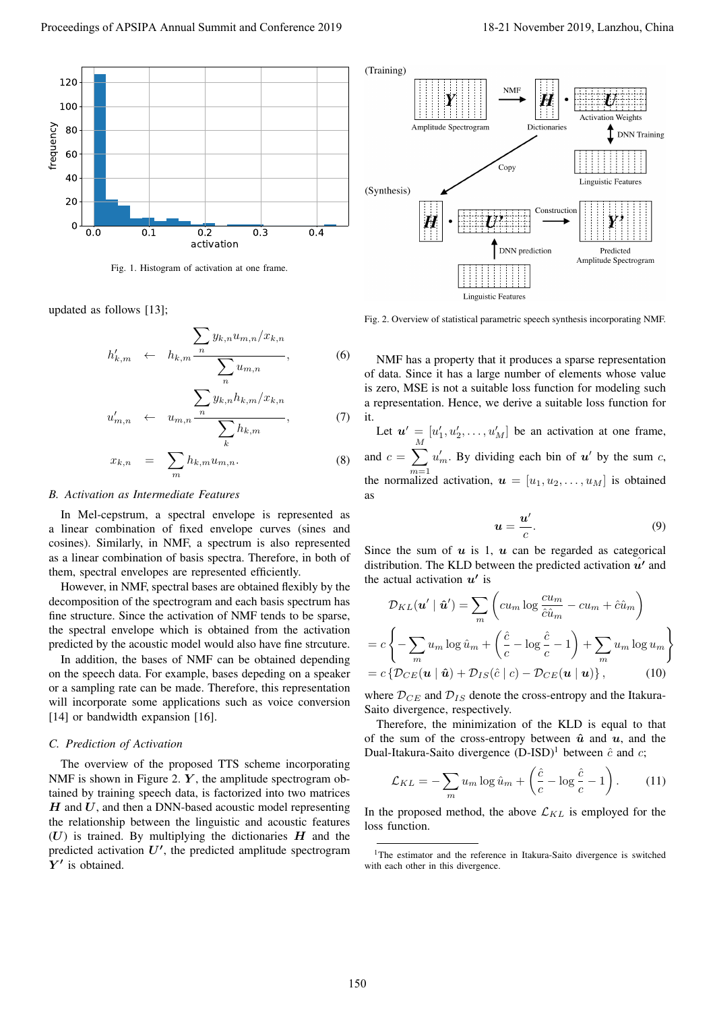

Fig. 1. Histogram of activation at one frame

updated as follows [13];

$$
h'_{k,m} \leftarrow h_{k,m} \frac{\sum_{n} y_{k,n} u_{m,n} / x_{k,n}}{\sum_{n} u_{m,n}}, \qquad (6)
$$

$$
u'_{m,n} \leftarrow u_{m,n} \frac{\sum_{n} y_{k,n} h_{k,m} / x_{k,n}}{\sum_{k} h_{k,m}}, \tag{7}
$$

$$
x_{k,n} = \sum_{m} h_{k,m} u_{m,n}.
$$
 (8)

#### *B. Activation as Intermediate Features*

In Mel-cepstrum, a spectral envelope is represented as a linear combination of fixed envelope curves (sines and cosines). Similarly, in NMF, a spectrum is also represented as a linear combination of basis spectra. Therefore, in both of them, spectral envelopes are represented efficiently.

However, in NMF, spectral bases are obtained flexibly by the decomposition of the spectrogram and each basis spectrum has fine structure. Since the activation of NMF tends to be sparse, the spectral envelope which is obtained from the activation predicted by the acoustic model would also have fine strcuture.

In addition, the bases of NMF can be obtained depending on the speech data. For example, bases depeding on a speaker or a sampling rate can be made. Therefore, this representation will incorporate some applications such as voice conversion [14] or bandwidth expansion [16].

#### *C. Prediction of Activation*

The overview of the proposed TTS scheme incorporating NMF is shown in Figure 2. *Y*, the amplitude spectrogram obtained by training speech data, is factorized into two matrices *H* and *U*, and then a DNN-based acoustic model representing the relationship between the linguistic and acoustic features (*U*) is trained. By multiplying the dictionaries *H* and the predicted activation *U′* , the predicted amplitude spectrogram *Y ′* is obtained.



Fig. 2. Overview of statistical parametric speech synthesis incorporating NMF.

NMF has a property that it produces a sparse representation of data. Since it has a large number of elements whose value is zero, MSE is not a suitable loss function for modeling such a representation. Hence, we derive a suitable loss function for it.

Let  $u' = [u'_1, u'_2, \dots, u'_M]$  be an activation at one frame, and  $c = \sum$ *M m*=1  $u'_m$ . By dividing each bin of *u*<sup> $\prime$ </sup> by the sum *c*, the normalized activation,  $u = [u_1, u_2, \dots, u_M]$  is obtained as

$$
u = \frac{u'}{c}.
$$
 (9)

Since the sum of  $u$  is 1,  $u$  can be regarded as categorical distribution. The KLD between the predicted activation *u*ˆ*′* and the actual activation  $u'$  is

$$
\mathcal{D}_{KL}(\boldsymbol{u}' \mid \hat{\boldsymbol{u}}') = \sum_{m} \left( c u_m \log \frac{c u_m}{\hat{c} \hat{u}_m} - c u_m + \hat{c} \hat{u}_m \right)
$$

$$
= c \left\{ - \sum_{m} u_m \log \hat{u}_m + \left( \frac{\hat{c}}{c} - \log \frac{\hat{c}}{c} - 1 \right) + \sum_{m} u_m \log u_m \right\}
$$

$$
= c \left\{ \mathcal{D}_{CE}(\boldsymbol{u} \mid \hat{\boldsymbol{u}}) + \mathcal{D}_{IS}(\hat{c} \mid c) - \mathcal{D}_{CE}(\boldsymbol{u} \mid \boldsymbol{u}) \right\}, \qquad (10)
$$

where  $D_{CE}$  and  $D_{IS}$  denote the cross-entropy and the Itakura-Saito divergence, respectively.

Therefore, the minimization of the KLD is equal to that of the sum of the cross-entropy between  $\hat{u}$  and  $u$ , and the Dual-Itakura-Saito divergence  $(D-ISD)^{1}$  between  $\hat{c}$  and  $c$ ;

$$
\mathcal{L}_{KL} = -\sum_{m} u_m \log \hat{u}_m + \left(\frac{\hat{c}}{c} - \log \frac{\hat{c}}{c} - 1\right). \tag{11}
$$

In the proposed method, the above  $\mathcal{L}_{KL}$  is employed for the loss function.

<sup>&</sup>lt;sup>1</sup>The estimator and the reference in Itakura-Saito divergence is switched with each other in this divergence.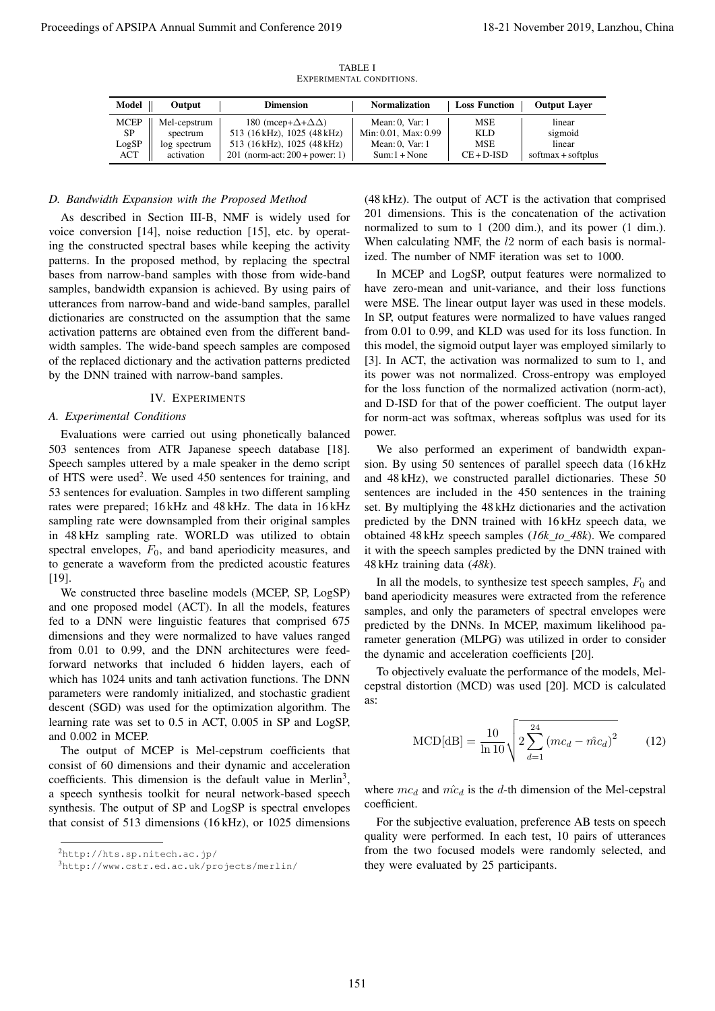| Model       | Output       | <b>Dimension</b>                          | <b>Normalization</b>      | <b>Loss Function</b> | <b>Output Laver</b>  |
|-------------|--------------|-------------------------------------------|---------------------------|----------------------|----------------------|
| <b>MCEP</b> | Mel-cepstrum | 180 (mcep+ $\Delta$ + $\Delta$ $\Delta$ ) | Mean: $0$ , Var: $1$      | <b>MSE</b>           | linear               |
| SP          | spectrum     | 513 (16 kHz), 1025 (48 kHz)               | Min: $0.01$ . Max: $0.99$ | KLD                  | sigmoid              |
| LogSP       | log spectrum | 513 (16 kHz), 1025 (48 kHz)               | Mean: $0.$ Var: $1$       | <b>MSE</b>           | linear               |
| ACT         | activation   | 201 (norm-act: $200 + power: 1$ )         | $Sum: 1 + None$           | $CE + D-ISD$         | $softmax + softplus$ |

TABLE I EXPERIMENTAL CONDITIONS.

### *D. Bandwidth Expansion with the Proposed Method*

As described in Section III-B, NMF is widely used for voice conversion [14], noise reduction [15], etc. by operating the constructed spectral bases while keeping the activity patterns. In the proposed method, by replacing the spectral bases from narrow-band samples with those from wide-band samples, bandwidth expansion is achieved. By using pairs of utterances from narrow-band and wide-band samples, parallel dictionaries are constructed on the assumption that the same activation patterns are obtained even from the different bandwidth samples. The wide-band speech samples are composed of the replaced dictionary and the activation patterns predicted by the DNN trained with narrow-band samples. Proceedings of APSIPA Annual Summit and Conference 2019<br>
November 2018 and the state of the state of the state of the state of the state of the state of the state of the state of the state of the state of the state of the

# IV. EXPERIMENTS

## *A. Experimental Conditions*

Evaluations were carried out using phonetically balanced 503 sentences from ATR Japanese speech database [18]. Speech samples uttered by a male speaker in the demo script of HTS were used<sup>2</sup>. We used 450 sentences for training, and 53 sentences for evaluation. Samples in two different sampling rates were prepared; 16 kHz and 48 kHz. The data in 16 kHz sampling rate were downsampled from their original samples in 48 kHz sampling rate. WORLD was utilized to obtain spectral envelopes,  $F_0$ , and band aperiodicity measures, and to generate a waveform from the predicted acoustic features [19].

We constructed three baseline models (MCEP, SP, LogSP) and one proposed model (ACT). In all the models, features fed to a DNN were linguistic features that comprised 675 dimensions and they were normalized to have values ranged from 0.01 to 0.99, and the DNN architectures were feedforward networks that included 6 hidden layers, each of which has 1024 units and tanh activation functions. The DNN parameters were randomly initialized, and stochastic gradient descent (SGD) was used for the optimization algorithm. The learning rate was set to 0.5 in ACT, 0.005 in SP and LogSP, and 0.002 in MCEP.

The output of MCEP is Mel-cepstrum coefficients that consist of 60 dimensions and their dynamic and acceleration coefficients. This dimension is the default value in Merlin<sup>3</sup>, a speech synthesis toolkit for neural network-based speech synthesis. The output of SP and LogSP is spectral envelopes that consist of 513 dimensions (16 kHz), or 1025 dimensions

(48 kHz). The output of ACT is the activation that comprised 201 dimensions. This is the concatenation of the activation normalized to sum to 1 (200 dim.), and its power (1 dim.). When calculating NMF, the *l*2 norm of each basis is normalized. The number of NMF iteration was set to 1000.

In MCEP and LogSP, output features were normalized to have zero-mean and unit-variance, and their loss functions were MSE. The linear output layer was used in these models. In SP, output features were normalized to have values ranged from 0.01 to 0.99, and KLD was used for its loss function. In this model, the sigmoid output layer was employed similarly to [3]. In ACT, the activation was normalized to sum to 1, and its power was not normalized. Cross-entropy was employed for the loss function of the normalized activation (norm-act), and D-ISD for that of the power coefficient. The output layer for norm-act was softmax, whereas softplus was used for its power.

We also performed an experiment of bandwidth expansion. By using 50 sentences of parallel speech data (16 kHz and 48 kHz), we constructed parallel dictionaries. These 50 sentences are included in the 450 sentences in the training set. By multiplying the 48 kHz dictionaries and the activation predicted by the DNN trained with 16 kHz speech data, we obtained 48 kHz speech samples (*16k to 48k*). We compared it with the speech samples predicted by the DNN trained with 48 kHz training data (*48k*).

In all the models, to synthesize test speech samples,  $F_0$  and band aperiodicity measures were extracted from the reference samples, and only the parameters of spectral envelopes were predicted by the DNNs. In MCEP, maximum likelihood parameter generation (MLPG) was utilized in order to consider the dynamic and acceleration coefficients [20].

To objectively evaluate the performance of the models, Melcepstral distortion (MCD) was used [20]. MCD is calculated as:

$$
MCD[dB] = \frac{10}{\ln 10} \sqrt{2 \sum_{d=1}^{24} (mc_d - \hat{mc}_d)^2}
$$
 (12)

where  $mc_d$  and  $\hat{mc}_d$  is the *d*-th dimension of the Mel-cepstral coefficient.

For the subjective evaluation, preference AB tests on speech quality were performed. In each test, 10 pairs of utterances from the two focused models were randomly selected, and they were evaluated by 25 participants.

<sup>2</sup>http://hts.sp.nitech.ac.jp/

<sup>3</sup>http://www.cstr.ed.ac.uk/projects/merlin/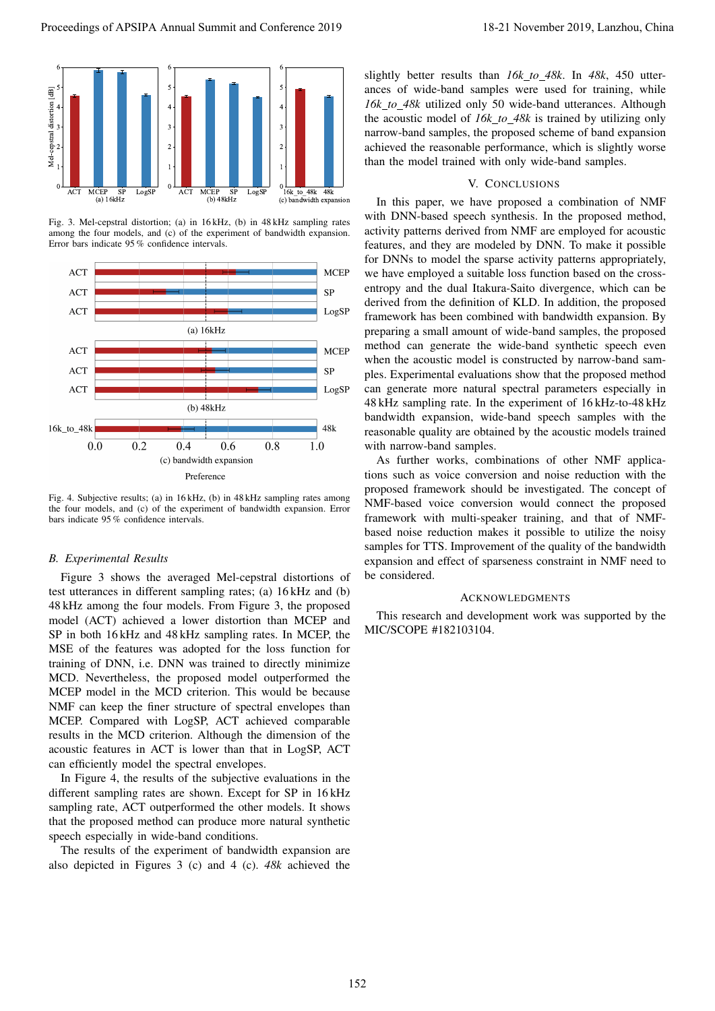

Fig. 3. Mel-cepstral distortion; (a) in 16 kHz, (b) in 48 kHz sampling rates among the four models, and (c) of the experiment of bandwidth expansion. Error bars indicate 95 % confidence intervals.



Fig. 4. Subjective results; (a) in 16 kHz, (b) in 48 kHz sampling rates among the four models, and (c) of the experiment of bandwidth expansion. Error bars indicate 95 % confidence intervals.

## *B. Experimental Results*

Figure 3 shows the averaged Mel-cepstral distortions of test utterances in different sampling rates; (a) 16 kHz and (b) 48 kHz among the four models. From Figure 3, the proposed model (ACT) achieved a lower distortion than MCEP and SP in both 16 kHz and 48 kHz sampling rates. In MCEP, the MSE of the features was adopted for the loss function for training of DNN, i.e. DNN was trained to directly minimize MCD. Nevertheless, the proposed model outperformed the MCEP model in the MCD criterion. This would be because NMF can keep the finer structure of spectral envelopes than MCEP. Compared with LogSP, ACT achieved comparable results in the MCD criterion. Although the dimension of the acoustic features in ACT is lower than that in LogSP, ACT can efficiently model the spectral envelopes.

In Figure 4, the results of the subjective evaluations in the different sampling rates are shown. Except for SP in 16 kHz sampling rate, ACT outperformed the other models. It shows that the proposed method can produce more natural synthetic speech especially in wide-band conditions.

The results of the experiment of bandwidth expansion are also depicted in Figures 3 (c) and 4 (c). *48k* achieved the

slightly better results than *16k to 48k*. In *48k*, 450 utterances of wide-band samples were used for training, while *16k to 48k* utilized only 50 wide-band utterances. Although the acoustic model of *16k to 48k* is trained by utilizing only narrow-band samples, the proposed scheme of band expansion achieved the reasonable performance, which is slightly worse than the model trained with only wide-band samples.

## V. CONCLUSIONS

In this paper, we have proposed a combination of NMF with DNN-based speech synthesis. In the proposed method, activity patterns derived from NMF are employed for acoustic features, and they are modeled by DNN. To make it possible for DNNs to model the sparse activity patterns appropriately, we have employed a suitable loss function based on the crossentropy and the dual Itakura-Saito divergence, which can be derived from the definition of KLD. In addition, the proposed framework has been combined with bandwidth expansion. By preparing a small amount of wide-band samples, the proposed method can generate the wide-band synthetic speech even when the acoustic model is constructed by narrow-band samples. Experimental evaluations show that the proposed method can generate more natural spectral parameters especially in 48 kHz sampling rate. In the experiment of 16 kHz-to-48 kHz bandwidth expansion, wide-band speech samples with the reasonable quality are obtained by the acoustic models trained with narrow-band samples. Proceedings of APSIPA Annual Summit and Conference 2019 18-21 November 2019, Lanzhou, China 152

As further works, combinations of other NMF applications such as voice conversion and noise reduction with the proposed framework should be investigated. The concept of NMF-based voice conversion would connect the proposed framework with multi-speaker training, and that of NMFbased noise reduction makes it possible to utilize the noisy samples for TTS. Improvement of the quality of the bandwidth expansion and effect of sparseness constraint in NMF need to be considered.

# **ACKNOWLEDGMENTS**

This research and development work was supported by the MIC/SCOPE #182103104.